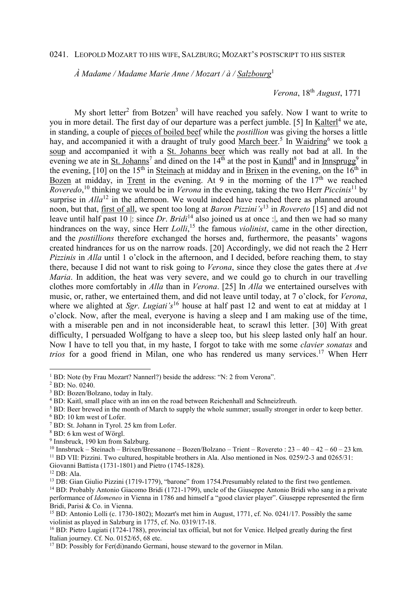## 0241. LEOPOLD MOZART TO HIS WIFE, SALZBURG; MOZART'S POSTSCRIPT TO HIS SISTER

 *À Madame / Madame Marie Anne / Mozart / à / Salzbourg*<sup>1</sup> 

## *Verona*, 18th *August*, 1771

My short letter<sup>2</sup> from Botzen<sup>3</sup> will have reached you safely. Now I want to write to you in more detail. The first day of our departure was a perfect jumble. [5] In Kalterl<sup>4</sup> we ate, in standing, a couple of pieces of boiled beef while the *postillion* was giving the horses a little hay, and accompanied it with a draught of truly good March beer.<sup>5</sup> In Waidring<sup>6</sup> we took a soup and accompanied it with a St. Johanns beer which was really not bad at all. In the evening we ate in St. Johanns<sup>7</sup> and dined on the  $14<sup>th</sup>$  at the post in  $Kundl<sup>8</sup>$  and in Innsprugg<sup>9</sup> in the evening,  $[10]$  on the  $15<sup>th</sup>$  in Steinach at midday and in Brixen in the evening, on the  $16<sup>th</sup>$  in Bozen at midday, in Trent in the evening. At 9 in the morning of the  $17<sup>th</sup>$  we reached *Roveredo*, <sup>10</sup> thinking we would be in *Verona* in the evening, taking the two Herr *Piccinis*<sup>11</sup> by surprise in *Alla*<sup>12</sup> in the afternoon. We would indeed have reached there as planned around noon, but that, first of all, we spent too long at *Baron Pizzini's*<sup>13</sup> in *Rovereto* [15] and did not leave until half past 10 |: since *Dr*. *Bridi*<sup>14</sup> also joined us at once :|, and then we had so many hindrances on the way, since Herr *Lolli*, <sup>15</sup> the famous *violinist*, came in the other direction, and the *postillions* therefore exchanged the horses and, furthermore, the peasants' wagons created hindrances for us on the narrow roads. [20] Accordingly, we did not reach the 2 Herr *Pizzinis* in *Alla* until 1 o'clock in the afternoon, and I decided, before reaching them, to stay there, because I did not want to risk going to *Verona*, since they close the gates there at *Ave Maria*. In addition, the heat was very severe, and we could go to church in our travelling clothes more comfortably in *Alla* than in *Verona*. [25] In *Alla* we entertained ourselves with music, or, rather, we entertained them, and did not leave until today, at 7 o'clock, for *Verona*, where we alighted at *Sgr. Lugiati's*<sup>16</sup> house at half past 12 and went to eat at midday at 1 o'clock. Now, after the meal, everyone is having a sleep and I am making use of the time, with a miserable pen and in not inconsiderable heat, to scrawl this letter. [30] With great difficulty, I persuaded Wolfgang to have a sleep too, but his sleep lasted only half an hour. Now I have to tell you that, in my haste, I forgot to take with me some *clavier sonatas* and *trios* for a good friend in Milan, one who has rendered us many services.<sup>17</sup> When Herr

 $\overline{a}$ 

<sup>&</sup>lt;sup>1</sup> BD: Note (by Frau Mozart? Nannerl?) beside the address: "N: 2 from Verona".

<sup>2</sup> BD: No. 0240.

<sup>3</sup> BD: Bozen/Bolzano, today in Italy.

<sup>&</sup>lt;sup>4</sup> BD: Kaitl, small place with an inn on the road between Reichenhall and Schneizlreuth.

<sup>&</sup>lt;sup>5</sup> BD: Beer brewed in the month of March to supply the whole summer; usually stronger in order to keep better.

<sup>6</sup> BD: 10 km west of Lofer.

<sup>7</sup> BD: St. Johann in Tyrol. 25 km from Lofer.

<sup>8</sup> BD: 6 km west of Wörgl.

<sup>9</sup> Innsbruck, 190 km from Salzburg.

<sup>&</sup>lt;sup>10</sup> Innsbruck – Steinach – Brixen/Bressanone – Bozen/Bolzano – Trient – Rovereto :  $23 - 40 - 42 - 60 - 23$  km. <sup>11</sup> BD VII: Pizzini. Two cultured, hospitable brothers in Ala. Also mentioned in Nos. 0259/2-3 and 0265/31: Giovanni Battista (1731-1801) and Pietro (1745-1828).

<sup>12</sup> DB: Ala.

<sup>&</sup>lt;sup>13</sup> DB: Gian Giulio Pizzini (1719-1779), "barone" from 1754.Presumably related to the first two gentlemen.

<sup>&</sup>lt;sup>14</sup> BD: Probably Antonio Giacomo Bridi (1721-1799), uncle of the Giuseppe Antonio Bridi who sang in a private performance of *Idomeneo* in Vienna in 1786 and himself a "good clavier player". Giuseppe represented the firm Bridi, Parisi & Co. in Vienna.

<sup>&</sup>lt;sup>15</sup> BD: Antonio Lolli (c. 1730-1802); Mozart's met him in August, 1771, cf. No. 0241/17. Possibly the same violinist as played in Salzburg in 1775, cf. No. 0319/17-18.

<sup>&</sup>lt;sup>16</sup> BD: Pietro Lugiati (1724-1788), provincial tax official, but not for Venice. Helped greatly during the first Italian journey. Cf. No. 0152/65, 68 etc.

<sup>&</sup>lt;sup>17</sup> BD: Possibly for Fer(di)nando Germani, house steward to the governor in Milan.